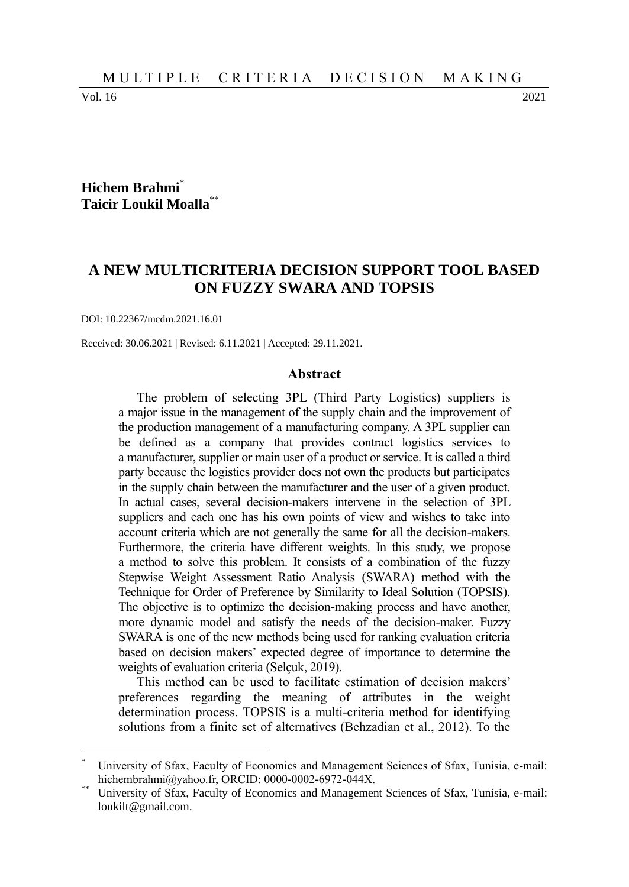Vol. 16 2021

 $\overline{a}$ 

#### **Hichem Brahmi**\* **Taicir Loukil Moalla**\*\*

# **A NEW MULTICRITERIA DECISION SUPPORT TOOL BASED ON FUZZY SWARA AND TOPSIS**

DOI: 10.22367/mcdm.2021.16.01

Received: 30.06.2021 | Revised: 6.11.2021 | Accepted: 29.11.2021.

#### **Abstract**

The problem of selecting 3PL (Third Party Logistics) suppliers is a major issue in the management of the supply chain and the improvement of the production management of a manufacturing company. A 3PL supplier can be defined as a company that provides contract logistics services to a manufacturer, supplier or main user of a product or service. It is called a third party because the logistics provider does not own the products but participates in the supply chain between the manufacturer and the user of a given product. In actual cases, several decision-makers intervene in the selection of 3PL suppliers and each one has his own points of view and wishes to take into account criteria which are not generally the same for all the decision-makers. Furthermore, the criteria have different weights. In this study, we propose a method to solve this problem. It consists of a combination of the fuzzy Stepwise Weight Assessment Ratio Analysis (SWARA) method with the Technique for Order of Preference by Similarity to Ideal Solution (TOPSIS). The objective is to optimize the decision-making process and have another, more dynamic model and satisfy the needs of the decision-maker. Fuzzy SWARA is one of the new methods being used for ranking evaluation criteria based on decision makers' expected degree of importance to determine the weights of evaluation criteria (Selçuk, 2019).

This method can be used to facilitate estimation of decision makers' preferences regarding the meaning of attributes in the weight determination process. TOPSIS is a multi-criteria method for identifying solutions from a finite set of alternatives (Behzadian et al., 2012). To the

University of Sfax, Faculty of Economics and Management Sciences of Sfax, Tunisia, e-mail: hichembrahmi@yahoo.fr, ORCID: 0000-0002-6972-044X.

University of Sfax, Faculty of Economics and Management Sciences of Sfax, Tunisia, e-mail: loukilt@gmail.com.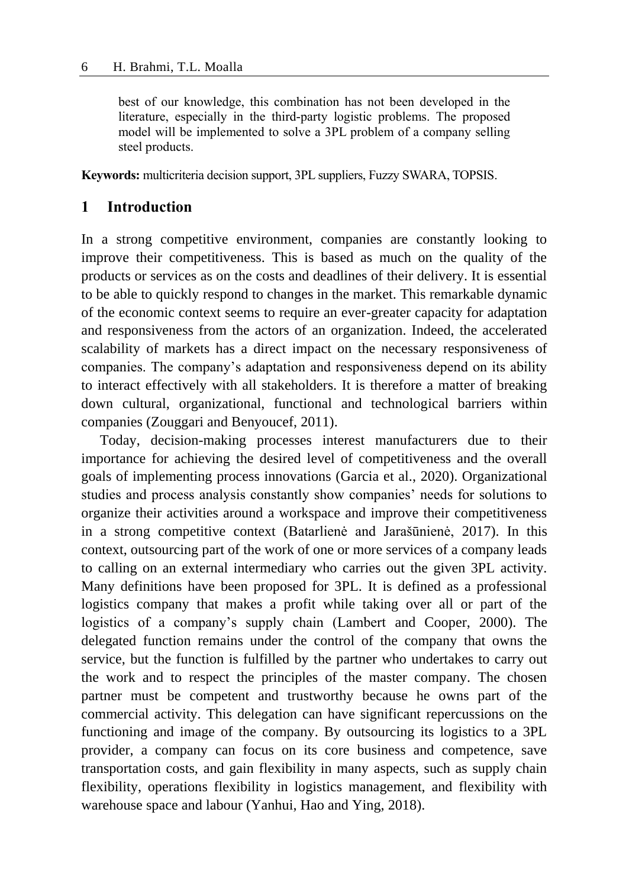best of our knowledge, this combination has not been developed in the literature, especially in the third-party logistic problems. The proposed model will be implemented to solve a 3PL problem of a company selling steel products.

**Keywords:** multicriteria decision support, 3PL suppliers, Fuzzy SWARA, TOPSIS.

## **1 Introduction**

In a strong competitive environment, companies are constantly looking to improve their competitiveness. This is based as much on the quality of the products or services as on the costs and deadlines of their delivery. It is essential to be able to quickly respond to changes in the market. This remarkable dynamic of the economic context seems to require an ever-greater capacity for adaptation and responsiveness from the actors of an organization. Indeed, the accelerated scalability of markets has a direct impact on the necessary responsiveness of companies. The company's adaptation and responsiveness depend on its ability to interact effectively with all stakeholders. It is therefore a matter of breaking down cultural, organizational, functional and technological barriers within companies (Zouggari and Benyoucef, 2011).

Today, decision-making processes interest manufacturers due to their importance for achieving the desired level of competitiveness and the overall goals of implementing process innovations (Garcia et al., 2020). Organizational studies and process analysis constantly show companies' needs for solutions to organize their activities around a workspace and improve their competitiveness in a strong competitive context (Batarlienė and Jarašūnienė, 2017). In this context, outsourcing part of the work of one or more services of a company leads to calling on an external intermediary who carries out the given 3PL activity. Many definitions have been proposed for 3PL. It is defined as a professional logistics company that makes a profit while taking over all or part of the logistics of a company's supply chain (Lambert and Cooper, 2000). The delegated function remains under the control of the company that owns the service, but the function is fulfilled by the partner who undertakes to carry out the work and to respect the principles of the master company. The chosen partner must be competent and trustworthy because he owns part of the commercial activity. This delegation can have significant repercussions on the functioning and image of the company. By outsourcing its logistics to a 3PL provider, a company can focus on its core business and competence, save transportation costs, and gain flexibility in many aspects, such as supply chain flexibility, operations flexibility in logistics management, and flexibility with warehouse space and labour (Yanhui, Hao and Ying, 2018).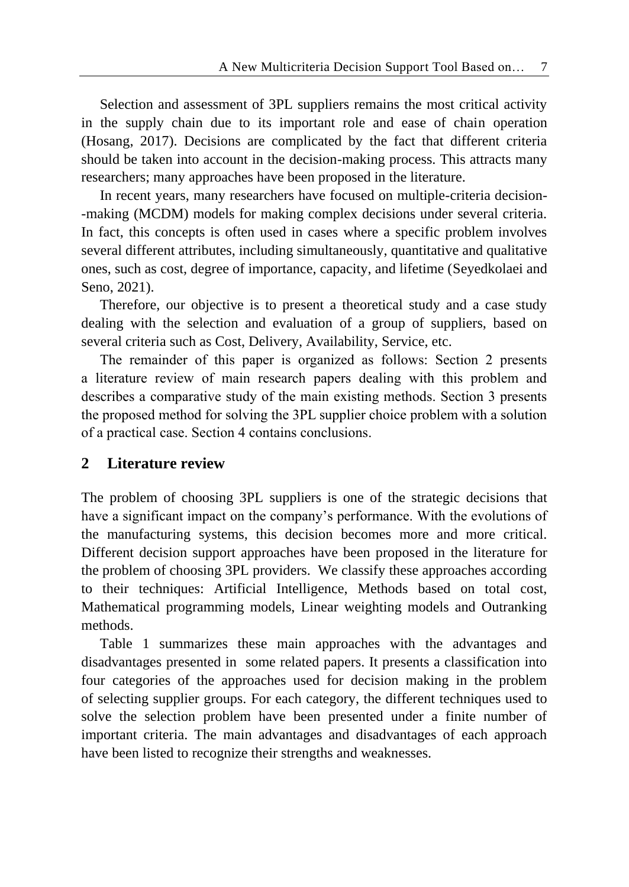Selection and assessment of 3PL suppliers remains the most critical activity in the supply chain due to its important role and ease of chain operation (Hosang, 2017). Decisions are complicated by the fact that different criteria should be taken into account in the decision-making process. This attracts many researchers; many approaches have been proposed in the literature.

In recent years, many researchers have focused on multiple-criteria decision- -making (MCDM) models for making complex decisions under several criteria. In fact, this concepts is often used in cases where a specific problem involves several different attributes, including simultaneously, quantitative and qualitative ones, such as cost, degree of importance, capacity, and lifetime (Seyedkolaei and Seno, 2021).

Therefore, our objective is to present a theoretical study and a case study dealing with the selection and evaluation of a group of suppliers, based on several criteria such as Cost, Delivery, Availability, Service, etc.

The remainder of this paper is organized as follows: Section 2 presents a literature review of main research papers dealing with this problem and describes a comparative study of the main existing methods. Section 3 presents the proposed method for solving the 3PL supplier choice problem with a solution of a practical case. Section 4 contains conclusions.

# **2 Literature review**

The problem of choosing 3PL suppliers is one of the strategic decisions that have a significant impact on the company's performance. With the evolutions of the manufacturing systems, this decision becomes more and more critical. Different decision support approaches have been proposed in the literature for the problem of choosing 3PL providers. We classify these approaches according to their techniques: Artificial Intelligence, Methods based on total cost, Mathematical programming models, Linear weighting models and Outranking methods.

Table 1 summarizes these main approaches with the advantages and disadvantages presented in some related papers. It presents a classification into four categories of the approaches used for decision making in the problem of selecting supplier groups. For each category, the different techniques used to solve the selection problem have been presented under a finite number of important criteria. The main advantages and disadvantages of each approach have been listed to recognize their strengths and weaknesses.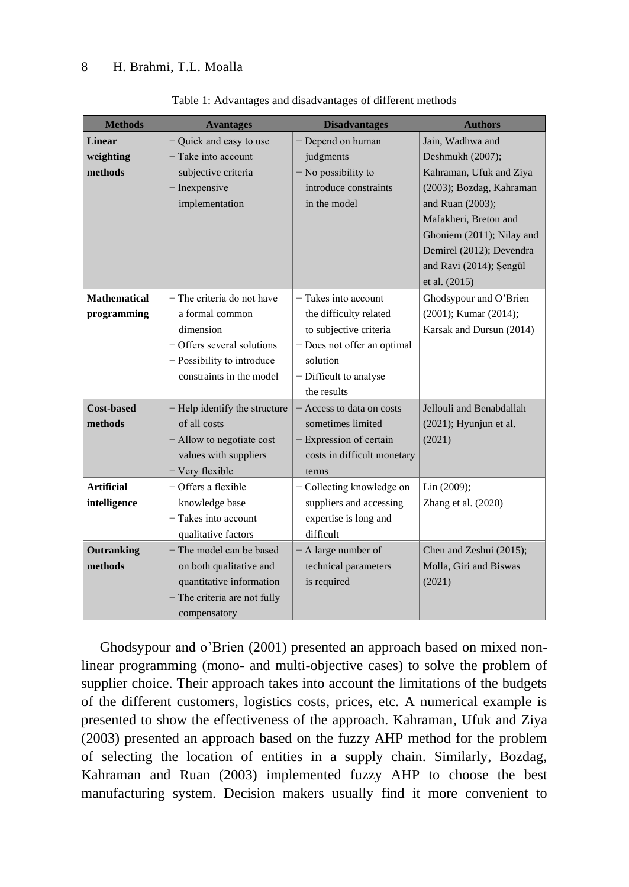| <b>Methods</b>      | <b>Avantages</b>              | <b>Disadvantages</b>        | <b>Authors</b>            |
|---------------------|-------------------------------|-----------------------------|---------------------------|
| Linear              | - Quick and easy to use       | - Depend on human           | Jain. Wadhwa and          |
| weighting           | - Take into account           | judgments                   | Deshmukh (2007);          |
| methods             | subjective criteria           | $-$ No possibility to       | Kahraman, Ufuk and Ziya   |
|                     | - Inexpensive                 | introduce constraints       | (2003); Bozdag, Kahraman  |
|                     | implementation                | in the model                | and Ruan (2003);          |
|                     |                               |                             | Mafakheri, Breton and     |
|                     |                               |                             | Ghoniem (2011); Nilay and |
|                     |                               |                             | Demirel (2012); Devendra  |
|                     |                               |                             | and Ravi (2014); Şengül   |
|                     |                               |                             | et al. (2015)             |
| <b>Mathematical</b> | $-$ The criteria do not have  | $-$ Takes into account      | Ghodsypour and O'Brien    |
| programming         | a formal common               | the difficulty related      | (2001); Kumar (2014);     |
|                     | dimension                     | to subjective criteria      | Karsak and Dursun (2014)  |
|                     | - Offers several solutions    | - Does not offer an optimal |                           |
|                     | - Possibility to introduce    | solution                    |                           |
|                     | constraints in the model      | - Difficult to analyse      |                           |
|                     |                               | the results                 |                           |
| <b>Cost-based</b>   | - Help identify the structure | - Access to data on costs   | Jellouli and Benabdallah  |
| methods             | of all costs                  | sometimes limited           | $(2021)$ ; Hyunjun et al. |
|                     | - Allow to negotiate cost     | $-$ Expression of certain   | (2021)                    |
|                     | values with suppliers         | costs in difficult monetary |                           |
|                     | - Very flexible               | terms                       |                           |
| <b>Artificial</b>   | $-$ Offers a flexible         | - Collecting knowledge on   | Lin (2009);               |
| intelligence        | knowledge base                | suppliers and accessing     | Zhang et al. (2020)       |
|                     | $-$ Takes into account        | expertise is long and       |                           |
|                     | qualitative factors           | difficult                   |                           |
| Outranking          | $-$ The model can be based    | - A large number of         | Chen and Zeshui (2015);   |
| methods             | on both qualitative and       | technical parameters        | Molla, Giri and Biswas    |
|                     | quantitative information      | is required                 | (2021)                    |
|                     | - The criteria are not fully  |                             |                           |
|                     | compensatory                  |                             |                           |

Table 1: Advantages and disadvantages of different methods

Ghodsypour and o'Brien (2001) presented an approach based on mixed nonlinear programming (mono- and multi-objective cases) to solve the problem of supplier choice. Their approach takes into account the limitations of the budgets of the different customers, logistics costs, prices, etc. A numerical example is presented to show the effectiveness of the approach. Kahraman, Ufuk and Ziya (2003) presented an approach based on the fuzzy AHP method for the problem of selecting the location of entities in a supply chain. Similarly, Bozdag, Kahraman and Ruan (2003) implemented fuzzy AHP to choose the best manufacturing system. Decision makers usually find it more convenient to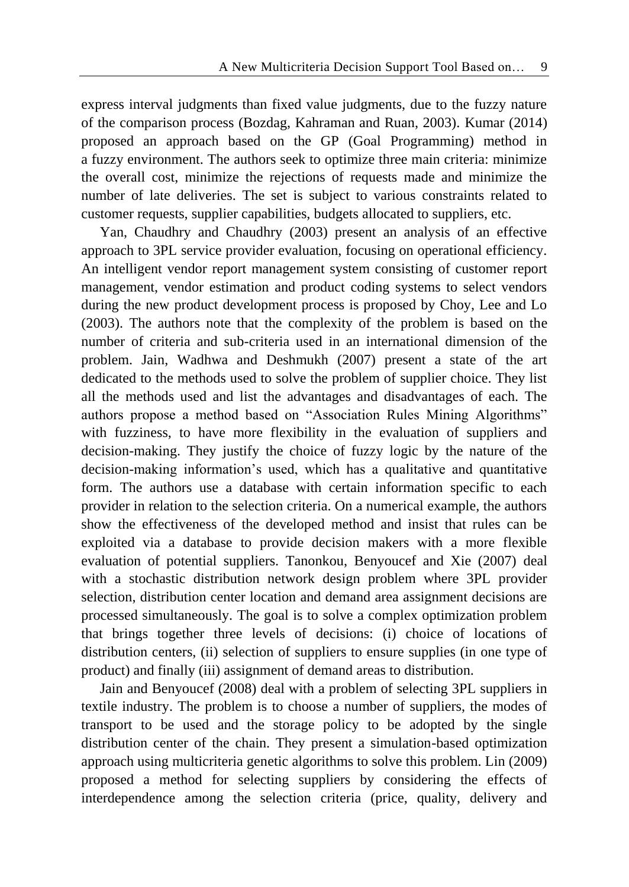express interval judgments than fixed value judgments, due to the fuzzy nature of the comparison process (Bozdag, Kahraman and Ruan, 2003). Kumar (2014) proposed an approach based on the GP (Goal Programming) method in a fuzzy environment. The authors seek to optimize three main criteria: minimize the overall cost, minimize the rejections of requests made and minimize the number of late deliveries. The set is subject to various constraints related to customer requests, supplier capabilities, budgets allocated to suppliers, etc.

Yan, Chaudhry and Chaudhry (2003) present an analysis of an effective approach to 3PL service provider evaluation, focusing on operational efficiency. An intelligent vendor report management system consisting of customer report management, vendor estimation and product coding systems to select vendors during the new product development process is proposed by Choy, Lee and Lo (2003). The authors note that the complexity of the problem is based on the number of criteria and sub-criteria used in an international dimension of the problem. Jain, Wadhwa and Deshmukh (2007) present a state of the art dedicated to the methods used to solve the problem of supplier choice. They list all the methods used and list the advantages and disadvantages of each. The authors propose a method based on "Association Rules Mining Algorithms" with fuzziness, to have more flexibility in the evaluation of suppliers and decision-making. They justify the choice of fuzzy logic by the nature of the decision-making information's used, which has a qualitative and quantitative form. The authors use a database with certain information specific to each provider in relation to the selection criteria. On a numerical example, the authors show the effectiveness of the developed method and insist that rules can be exploited via a database to provide decision makers with a more flexible evaluation of potential suppliers. Tanonkou, Benyoucef and Xie (2007) deal with a stochastic distribution network design problem where 3PL provider selection, distribution center location and demand area assignment decisions are processed simultaneously. The goal is to solve a complex optimization problem that brings together three levels of decisions: (i) choice of locations of distribution centers, (ii) selection of suppliers to ensure supplies (in one type of product) and finally (iii) assignment of demand areas to distribution.

Jain and Benyoucef (2008) deal with a problem of selecting 3PL suppliers in textile industry. The problem is to choose a number of suppliers, the modes of transport to be used and the storage policy to be adopted by the single distribution center of the chain. They present a simulation-based optimization approach using multicriteria genetic algorithms to solve this problem. Lin (2009) proposed a method for selecting suppliers by considering the effects of interdependence among the selection criteria (price, quality, delivery and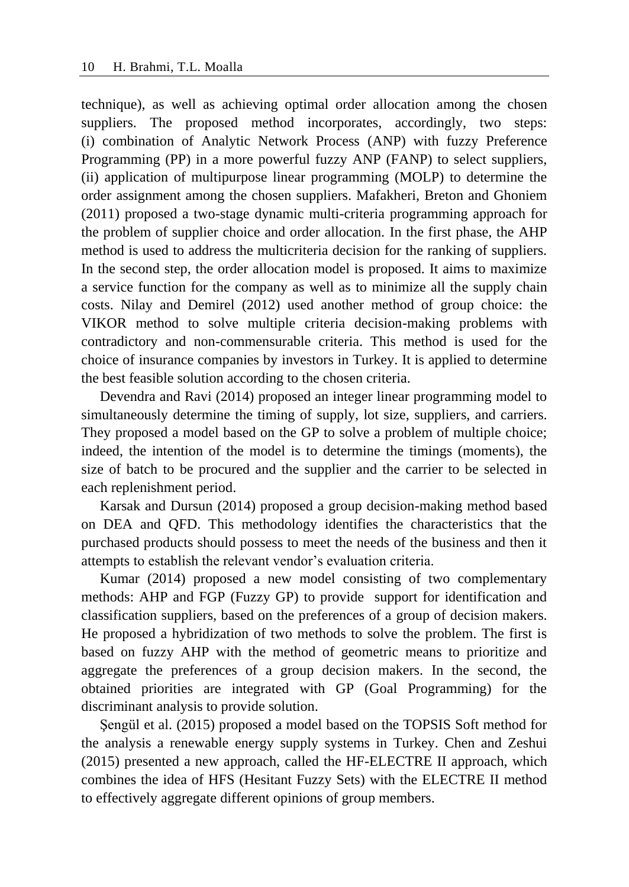technique), as well as achieving optimal order allocation among the chosen suppliers. The proposed method incorporates, accordingly, two steps: (i) combination of Analytic Network Process (ANP) with fuzzy Preference Programming (PP) in a more powerful fuzzy ANP (FANP) to select suppliers, (ii) application of multipurpose linear programming (MOLP) to determine the order assignment among the chosen suppliers. Mafakheri, Breton and Ghoniem (2011) proposed a two-stage dynamic multi-criteria programming approach for the problem of supplier choice and order allocation. In the first phase, the AHP method is used to address the multicriteria decision for the ranking of suppliers. In the second step, the order allocation model is proposed. It aims to maximize a service function for the company as well as to minimize all the supply chain costs. Nilay and Demirel (2012) used another method of group choice: the VIKOR method to solve multiple criteria decision-making problems with contradictory and non-commensurable criteria. This method is used for the choice of insurance companies by investors in Turkey. It is applied to determine the best feasible solution according to the chosen criteria.

Devendra and Ravi (2014) proposed an integer linear programming model to simultaneously determine the timing of supply, lot size, suppliers, and carriers. They proposed a model based on the GP to solve a problem of multiple choice; indeed, the intention of the model is to determine the timings (moments), the size of batch to be procured and the supplier and the carrier to be selected in each replenishment period.

Karsak and Dursun (2014) proposed a group decision-making method based on DEA and QFD. This methodology identifies the characteristics that the purchased products should possess to meet the needs of the business and then it attempts to establish the relevant vendor's evaluation criteria.

Kumar (2014) proposed a new model consisting of two complementary methods: AHP and FGP (Fuzzy GP) to provide support for identification and classification suppliers, based on the preferences of a group of decision makers. He proposed a hybridization of two methods to solve the problem. The first is based on fuzzy AHP with the method of geometric means to prioritize and aggregate the preferences of a group decision makers. In the second, the obtained priorities are integrated with GP (Goal Programming) for the discriminant analysis to provide solution.

Şengül et al. (2015) proposed a model based on the TOPSIS Soft method for the analysis a renewable energy supply systems in Turkey. Chen and Zeshui (2015) presented a new approach, called the HF-ELECTRE II approach, which combines the idea of HFS (Hesitant Fuzzy Sets) with the ELECTRE II method to effectively aggregate different opinions of group members.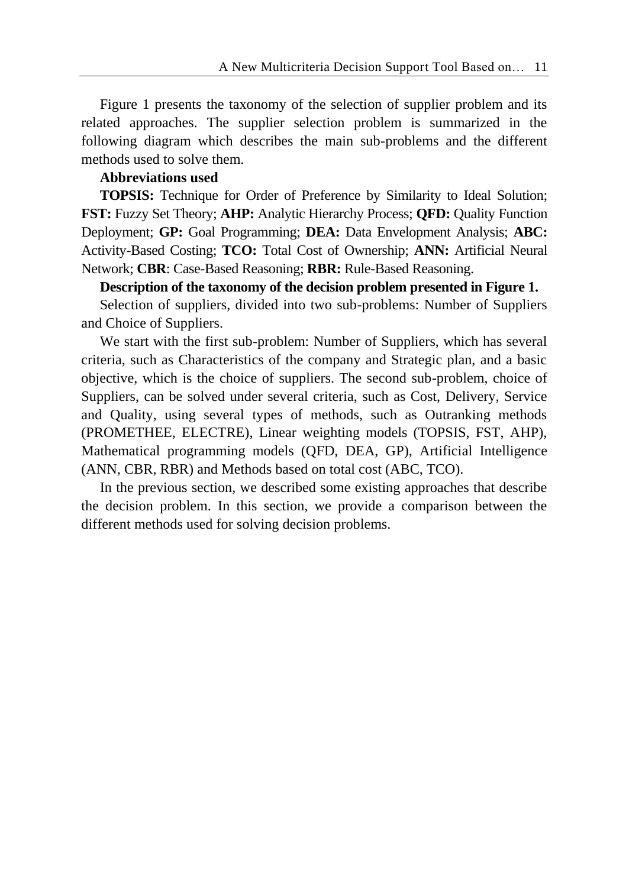Figure 1 presents the taxonomy of the selection of supplier problem and its related approaches. The supplier selection problem is summarized in the following diagram which describes the main sub-problems and the different methods used to solve them.

## **Abbreviations used**

**TOPSIS:** Technique for Order of Preference by Similarity to Ideal Solution; **FST:** Fuzzy Set Theory; **AHP:** Analytic Hierarchy Process; **QFD:** Quality Function Deployment; **GP:** Goal Programming; **DEA:** Data Envelopment Analysis; **ABC:** Activity-Based Costing; **TCO:** Total Cost of Ownership; **ANN:** Artificial Neural Network; **CBR**: Case-Based Reasoning; **RBR:** Rule-Based Reasoning.

**Description of the taxonomy of the decision problem presented in Figure 1.**

Selection of suppliers, divided into two sub-problems: Number of Suppliers and Choice of Suppliers.

We start with the first sub-problem: Number of Suppliers, which has several criteria, such as Characteristics of the company and Strategic plan, and a basic objective, which is the choice of suppliers. The second sub-problem, choice of Suppliers, can be solved under several criteria, such as Cost, Delivery, Service and Quality, using several types of methods, such as Outranking methods (PROMETHEE, ELECTRE), Linear weighting models (TOPSIS, FST, AHP), Mathematical programming models (QFD, DEA, GP), Artificial Intelligence (ANN, CBR, RBR) and Methods based on total cost (ABC, TCO).

In the previous section, we described some existing approaches that describe the decision problem. In this section, we provide a comparison between the different methods used for solving decision problems.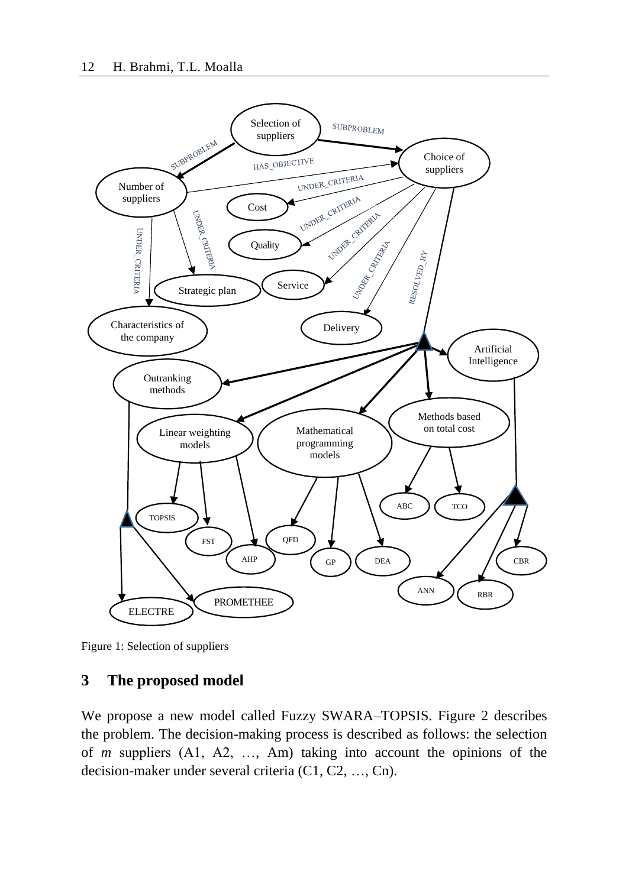

Figure 1: Selection of suppliers

## **3 The proposed model**

We propose a new model called Fuzzy SWARA–TOPSIS. Figure 2 describes the problem. The decision-making process is described as follows: the selection of *m* suppliers (A1, A2, …, Am) taking into account the opinions of the decision-maker under several criteria (C1, C2, …, Cn).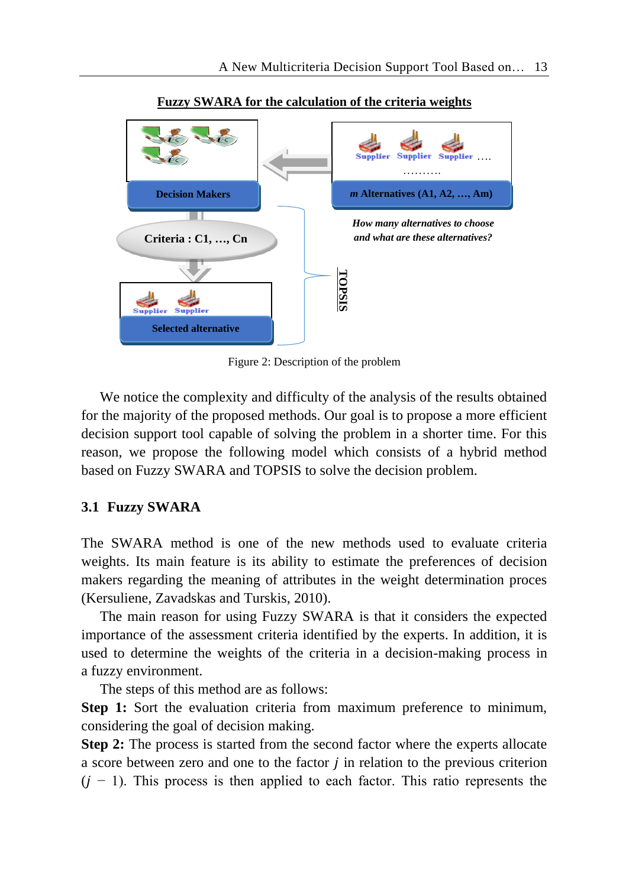

**Fuzzy SWARA for the calculation of the criteria weights**

Figure 2: Description of the problem

We notice the complexity and difficulty of the analysis of the results obtained for the majority of the proposed methods. Our goal is to propose a more efficient decision support tool capable of solving the problem in a shorter time. For this reason, we propose the following model which consists of a hybrid method based on Fuzzy SWARA and TOPSIS to solve the decision problem.

# **3.1 Fuzzy SWARA**

The SWARA method is one of the new methods used to evaluate criteria weights. Its main feature is its ability to estimate the preferences of decision makers regarding the meaning of attributes in the weight determination proces (Kersuliene, Zavadskas and Turskis, 2010).

The main reason for using Fuzzy SWARA is that it considers the expected importance of the assessment criteria identified by the experts. In addition, it is used to determine the weights of the criteria in a decision-making process in a fuzzy environment.

The steps of this method are as follows:

**Step 1:** Sort the evaluation criteria from maximum preference to minimum, considering the goal of decision making.

**Step 2:** The process is started from the second factor where the experts allocate a score between zero and one to the factor  $j$  in relation to the previous criterion  $(i - 1)$ . This process is then applied to each factor. This ratio represents the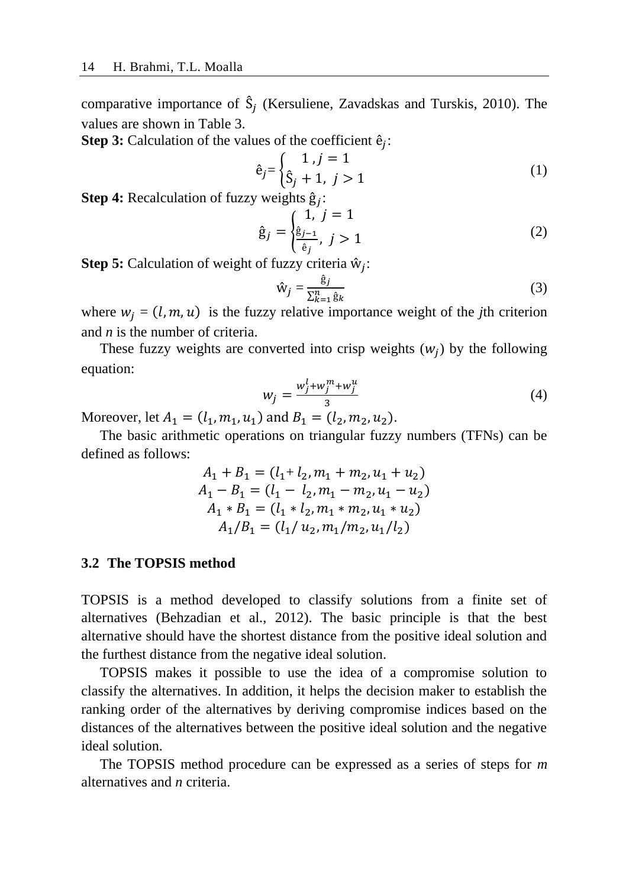comparative importance of  $\hat{S}_j$  (Kersuliene, Zavadskas and Turskis, 2010). The values are shown in Table 3.

**Step 3:** Calculation of the values of the coefficient  $\hat{e}_j$ :

$$
\hat{e}_j = \begin{cases} 1, j = 1\\ \hat{S}_j + 1, j > 1 \end{cases}
$$
 (1)

**Step 4:** Recalculation of fuzzy weights ĝ :

$$
\hat{g}_j = \begin{cases} 1, & j = 1 \\ \frac{\hat{g}_{j-1}}{\hat{e}_j}, & j > 1 \end{cases}
$$
 (2)

**Step 5:** Calculation of weight of fuzzy criteria ŵ :

$$
\hat{w}_j = \frac{\hat{g}_j}{\sum_{k=1}^n \hat{g}_k} \tag{3}
$$

where  $w_j = (l, m, u)$  is the fuzzy relative importance weight of the *j*th criterion and *n* is the number of criteria.

These fuzzy weights are converted into crisp weights  $(w_j)$  by the following equation:

$$
w_j = \frac{w_j^l + w_j^m + w_j^u}{3} \tag{4}
$$

Moreover, let  $A_1 = (l_1, m_1, u_1)$  and  $B_1 = (l_2, m_2, u_2)$ .

The basic arithmetic operations on triangular fuzzy numbers (TFNs) can be defined as follows:

$$
A_1 + B_1 = (l_1 + l_2, m_1 + m_2, u_1 + u_2)
$$
  
\n
$$
A_1 - B_1 = (l_1 - l_2, m_1 - m_2, u_1 - u_2)
$$
  
\n
$$
A_1 * B_1 = (l_1 * l_2, m_1 * m_2, u_1 * u_2)
$$
  
\n
$$
A_1/B_1 = (l_1 / u_2, m_1 / m_2, u_1 / l_2)
$$

#### **3.2 The TOPSIS method**

TOPSIS is a method developed to classify solutions from a finite set of alternatives (Behzadian et al., 2012). The basic principle is that the best alternative should have the shortest distance from the positive ideal solution and the furthest distance from the negative ideal solution.

TOPSIS makes it possible to use the idea of a compromise solution to classify the alternatives. In addition, it helps the decision maker to establish the ranking order of the alternatives by deriving compromise indices based on the distances of the alternatives between the positive ideal solution and the negative ideal solution.

The TOPSIS method procedure can be expressed as a series of steps for *m* alternatives and *n* criteria.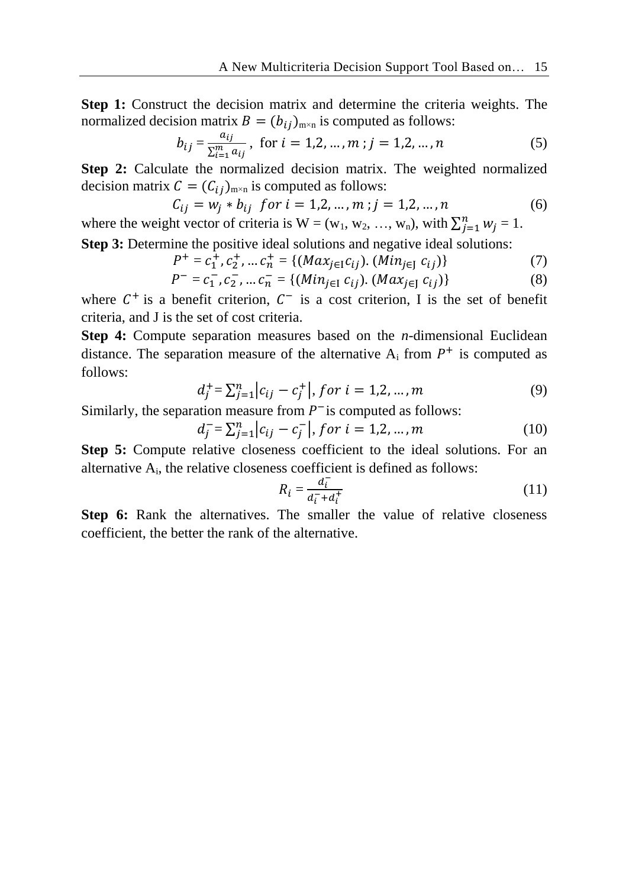**Step 1:** Construct the decision matrix and determine the criteria weights. The normalized decision matrix  $B = (b_{ij})_{m \times n}$  is computed as follows:

$$
b_{ij} = \frac{a_{ij}}{\sum_{i=1}^{m} a_{ij}}, \text{ for } i = 1, 2, ..., m; j = 1, 2, ..., n
$$
 (5)

**Step 2:** Calculate the normalized decision matrix. The weighted normalized decision matrix  $C = (C_{ij})_{m \times n}$  is computed as follows:

$$
C_{ij} = w_j * b_{ij} \text{ for } i = 1, 2, ..., m; j = 1, 2, ..., n
$$
 (6)

where the weight vector of criteria is  $W = (w_1, w_2, ..., w_n)$ , with  $\sum_{j=1}^{n} w_j = 1$ .

**Step 3:** Determine the positive ideal solutions and negative ideal solutions:

$$
P^{+} = c_{1}^{+}, c_{2}^{+}, \dots c_{n}^{+} = \{ (Max_{j\in I}c_{ij}), (Min_{j\in J}c_{ij}) \}
$$
 (7)

$$
P^{-} = c_{1}^{-}, c_{2}^{-}, \dots c_{n}^{-} = \{ (Min_{j \in I} c_{ij}). (Max_{j \in J} c_{ij}) \}
$$
(8)

where  $C^+$  is a benefit criterion,  $C^-$  is a cost criterion, I is the set of benefit criteria, and J is the set of cost criteria.

**Step 4:** Compute separation measures based on the *n*-dimensional Euclidean distance. The separation measure of the alternative  $A_i$  from  $P^+$  is computed as follows:

$$
d_j^+ = \sum_{j=1}^n |c_{ij} - c_j^+|, \text{ for } i = 1, 2, ..., m
$$
 (9)

Similarly, the separation measure from  $P^-$  is computed as follows:

$$
d_j^- = \sum_{j=1}^n |c_{ij} - c_j^-|, \text{ for } i = 1, 2, ..., m
$$
 (10)

**Step 5:** Compute relative closeness coefficient to the ideal solutions. For an alternative  $A_i$ , the relative closeness coefficient is defined as follows:

$$
R_i = \frac{d_i^-}{d_i^- + d_i^+} \tag{11}
$$

Step 6: Rank the alternatives. The smaller the value of relative closeness coefficient, the better the rank of the alternative.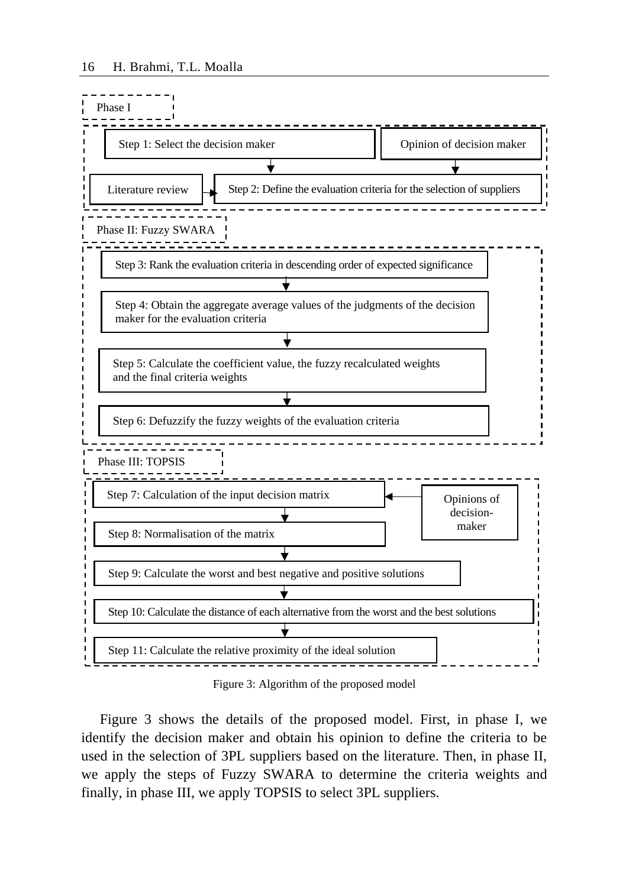

Figure 3: Algorithm of the proposed model

Figure 3 shows the details of the proposed model. First, in phase I, we identify the decision maker and obtain his opinion to define the criteria to be used in the selection of 3PL suppliers based on the literature. Then, in phase II, we apply the steps of Fuzzy SWARA to determine the criteria weights and finally, in phase III, we apply TOPSIS to select 3PL suppliers.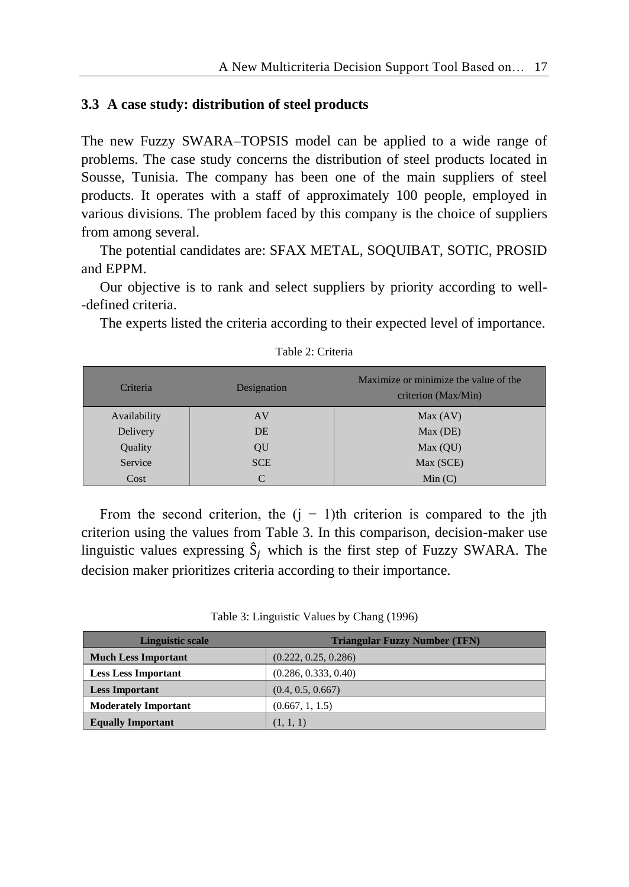#### **3.3 A case study: distribution of steel products**

The new Fuzzy SWARA–TOPSIS model can be applied to a wide range of problems. The case study concerns the distribution of steel products located in Sousse, Tunisia. The company has been one of the main suppliers of steel products. It operates with a staff of approximately 100 people, employed in various divisions. The problem faced by this company is the choice of suppliers from among several.

The potential candidates are: SFAX METAL, SOQUIBAT, SOTIC, PROSID and EPPM.

Our objective is to rank and select suppliers by priority according to well- -defined criteria.

The experts listed the criteria according to their expected level of importance.

| Criteria     | Designation | Maximize or minimize the value of the<br>criterion (Max/Min) |
|--------------|-------------|--------------------------------------------------------------|
| Availability | AV          | Max (AV)                                                     |
| Delivery     | <b>DE</b>   | Max (DE)                                                     |
| Quality      | QU          | Max (QU)                                                     |
| Service      | <b>SCE</b>  | Max (SCE)                                                    |
| Cost         | C           | Min(C)                                                       |

Table 2: Criteria

From the second criterion, the  $(j - 1)$ th criterion is compared to the jth criterion using the values from Table 3. In this comparison, decision-maker use linguistic values expressing  $\hat{S}_i$  which is the first step of Fuzzy SWARA. The decision maker prioritizes criteria according to their importance.

|  |  | Table 3: Linguistic Values by Chang (1996) |  |  |  |
|--|--|--------------------------------------------|--|--|--|
|--|--|--------------------------------------------|--|--|--|

| <b>Linguistic scale</b>     | <b>Triangular Fuzzy Number (TFN)</b> |
|-----------------------------|--------------------------------------|
| <b>Much Less Important</b>  | (0.222, 0.25, 0.286)                 |
| <b>Less Less Important</b>  | (0.286, 0.333, 0.40)                 |
| <b>Less Important</b>       | (0.4, 0.5, 0.667)                    |
| <b>Moderately Important</b> | (0.667, 1, 1.5)                      |
| <b>Equally Important</b>    | (1, 1, 1)                            |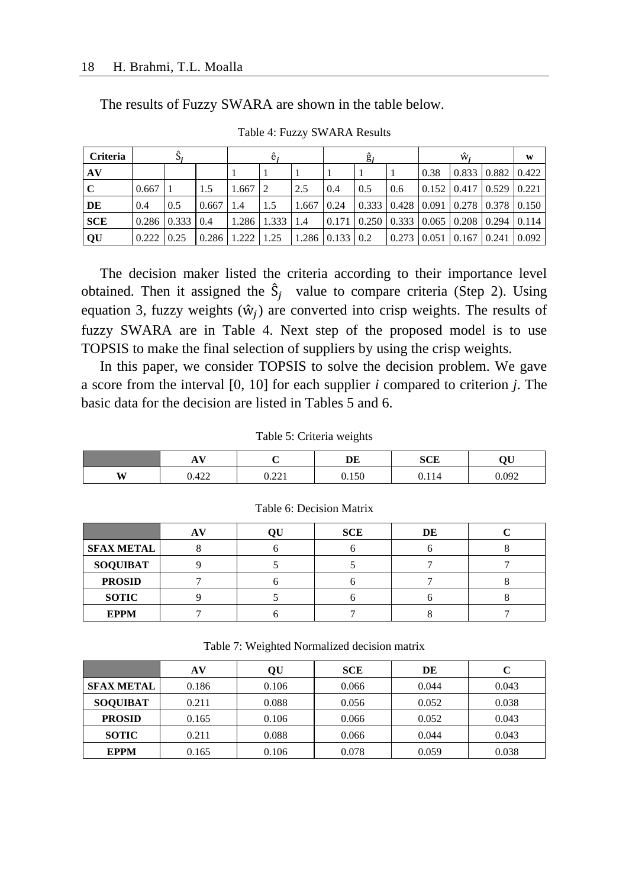The results of Fuzzy SWARA are shown in the table below.

| <b>Criteria</b> |                |                       |                 |       |                       |       |                       | g,                                                                                  |     |      | w.                                          | W |
|-----------------|----------------|-----------------------|-----------------|-------|-----------------------|-------|-----------------------|-------------------------------------------------------------------------------------|-----|------|---------------------------------------------|---|
| AV              |                |                       |                 |       |                       |       |                       |                                                                                     |     | 0.38 | $\vert 0.833 \vert 0.882 \vert 0.422 \vert$ |   |
|                 | 0.667          |                       | 1.5             | 1.667 |                       | 2.5   | 0.4                   | 0.5                                                                                 | 0.6 |      | $0.152$   0.417   0.529   0.221             |   |
| DE              | 0.4            | 0.5                   | 0.667           | 1.4   | 1.5                   | 1.667 | 0.24                  | 0.333   0.428   0.091   0.278   0.378   0.150                                       |     |      |                                             |   |
| <b>SCE</b>      |                | $0.286$   0.333   0.4 |                 |       | $1.286$   1.333   1.4 |       |                       | $\mid 0.171 \mid 0.250 \mid 0.333 \mid 0.065 \mid 0.208 \mid 0.294 \mid 0.114 \mid$ |     |      |                                             |   |
| QU              | $0.222$   0.25 |                       | $0.286$   1.222 |       | 1.25                  |       | $1.286$   0.133   0.2 |                                                                                     |     |      | 0.273   0.051   0.167   0.241   0.092       |   |

Table 4: Fuzzy SWARA Results

The decision maker listed the criteria according to their importance level obtained. Then it assigned the  $\hat{S}_i$  value to compare criteria (Step 2). Using equation 3, fuzzy weights  $(\hat{w}_j)$  are converted into crisp weights. The results of fuzzy SWARA are in Table 4. Next step of the proposed model is to use TOPSIS to make the final selection of suppliers by using the crisp weights.

In this paper, we consider TOPSIS to solve the decision problem. We gave a score from the interval [0, 10] for each supplier *i* compared to criterion *j*. The basic data for the decision are listed in Tables 5 and 6.

|   | $\mathbf{v}$<br>71 V |                | DE    | <b>SCE</b> | $\alpha$ ti |
|---|----------------------|----------------|-------|------------|-------------|
| W | 0.422                | 0.221<br>0.441 | 0.150 | .114       | 0.092       |

Table 5: Criteria weights

|                   | A <sup>V</sup> | OU | <b>SCE</b> | DE |  |
|-------------------|----------------|----|------------|----|--|
| <b>SFAX METAL</b> |                |    |            |    |  |
| <b>SOQUIBAT</b>   |                |    |            |    |  |
| <b>PROSID</b>     |                |    |            |    |  |
| <b>SOTIC</b>      |                |    |            |    |  |
| <b>EPPM</b>       |                |    |            |    |  |

Table 6: Decision Matrix

Table 7: Weighted Normalized decision matrix

|                   | AV    | OU    | <b>SCE</b> | DE    |       |
|-------------------|-------|-------|------------|-------|-------|
| <b>SFAX METAL</b> | 0.186 | 0.106 | 0.066      | 0.044 | 0.043 |
| <b>SOOUIBAT</b>   | 0.211 | 0.088 | 0.056      | 0.052 | 0.038 |
| <b>PROSID</b>     | 0.165 | 0.106 | 0.066      | 0.052 | 0.043 |
| <b>SOTIC</b>      | 0.211 | 0.088 | 0.066      | 0.044 | 0.043 |
| <b>EPPM</b>       | 0.165 | 0.106 | 0.078      | 0.059 | 0.038 |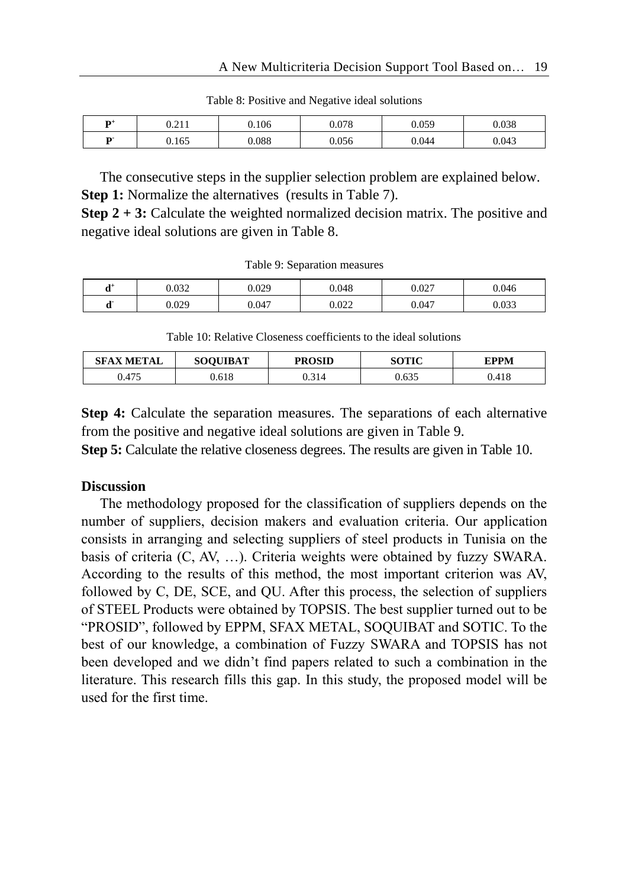| $\mathbf{D}^+$ | 0.211<br>U.∠II | 0.106 | 0.078 | 0.059 | 0.038 |
|----------------|----------------|-------|-------|-------|-------|
| D.             | 0.165          | 0.088 | 0.056 | 0.044 | 0.043 |

Table 8: Positive and Negative ideal solutions

The consecutive steps in the supplier selection problem are explained below. **Step 1:** Normalize the alternatives (results in Table 7).

**Step 2 + 3:** Calculate the weighted normalized decision matrix. The positive and negative ideal solutions are given in Table 8.

Table 9: Separation measures

| $+$<br>u | 0.032 | 0.029 | 0.048 | 0.027 | 0.046 |
|----------|-------|-------|-------|-------|-------|
| х.<br>u  | 0.029 | 0.047 | 0.022 | 0.047 | 0.033 |

Table 10: Relative Closeness coefficients to the ideal solutions

| <b>SFAX METAL</b> | <b>SOOUIBAT</b> | <b>PROSID</b> | SOTIC | FPPM  |
|-------------------|-----------------|---------------|-------|-------|
| 0.475             | J.618           | J.314         | 0.635 | 0.418 |

**Step 4:** Calculate the separation measures. The separations of each alternative from the positive and negative ideal solutions are given in Table 9.

**Step 5:** Calculate the relative closeness degrees. The results are given in Table 10.

#### **Discussion**

The methodology proposed for the classification of suppliers depends on the number of suppliers, decision makers and evaluation criteria. Our application consists in arranging and selecting suppliers of steel products in Tunisia on the basis of criteria (C, AV, …). Criteria weights were obtained by fuzzy SWARA. According to the results of this method, the most important criterion was AV, followed by C, DE, SCE, and QU. After this process, the selection of suppliers of STEEL Products were obtained by TOPSIS. The best supplier turned out to be "PROSID", followed by EPPM, SFAX METAL, SOQUIBAT and SOTIC. To the best of our knowledge, a combination of Fuzzy SWARA and TOPSIS has not been developed and we didn't find papers related to such a combination in the literature. This research fills this gap. In this study, the proposed model will be used for the first time.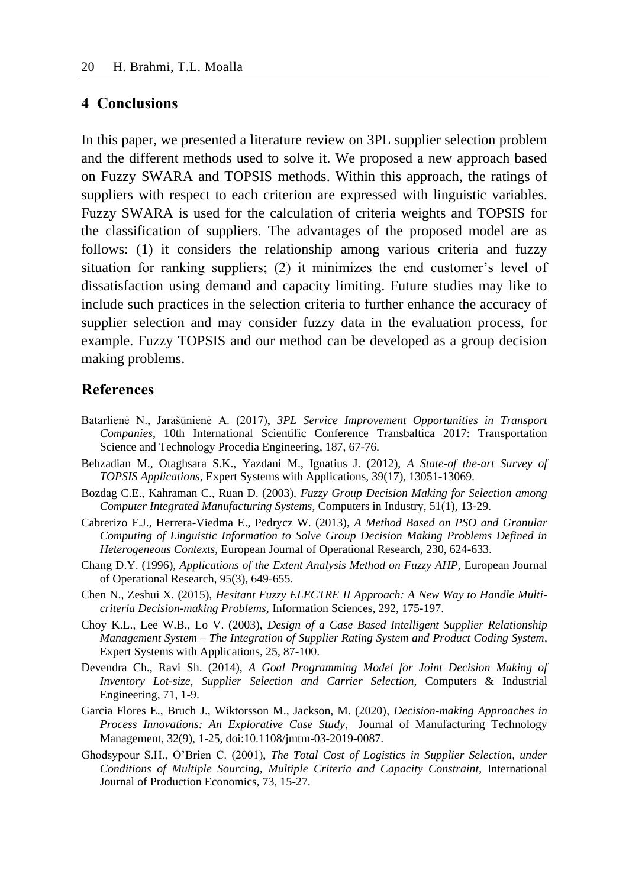#### **4 Conclusions**

In this paper, we presented a literature review on 3PL supplier selection problem and the different methods used to solve it. We proposed a new approach based on Fuzzy SWARA and TOPSIS methods. Within this approach, the ratings of suppliers with respect to each criterion are expressed with linguistic variables. Fuzzy SWARA is used for the calculation of criteria weights and TOPSIS for the classification of suppliers. The advantages of the proposed model are as follows: (1) it considers the relationship among various criteria and fuzzy situation for ranking suppliers; (2) it minimizes the end customer's level of dissatisfaction using demand and capacity limiting. Future studies may like to include such practices in the selection criteria to further enhance the accuracy of supplier selection and may consider fuzzy data in the evaluation process, for example. Fuzzy TOPSIS and our method can be developed as a group decision making problems.

### **References**

- Batarlienė N., Jarašūnienė A. (2017), *3PL Service Improvement Opportunities in Transport Companies*, 10th International Scientific Conference Transbaltica 2017: Transportation Science and Technology Procedia Engineering, 187, 67-76.
- Behzadian M., Otaghsara S.K., Yazdani M., Ignatius J. (2012), *A State-of the-art Survey of TOPSIS Applications*, Expert Systems with Applications, 39(17), 13051-13069.
- Bozdag C.E., Kahraman C., Ruan D. (2003), *Fuzzy Group Decision Making for Selection among Computer Integrated Manufacturing Systems*, Computers in Industry, 51(1), 13-29.
- Cabrerizo F.J., Herrera-Viedma E., Pedrycz W. (2013), *A Method Based on PSO and Granular Computing of Linguistic Information to Solve Group Decision Making Problems Defined in Heterogeneous Contexts*, European Journal of Operational Research, 230, 624-633.
- Chang D.Y. (1996), *Applications of the Extent Analysis Method on Fuzzy AHP*, European Journal of Operational Research, 95(3), 649-655.
- Chen N., Zeshui X. (2015), *Hesitant Fuzzy ELECTRE II Approach: A New Way to Handle Multicriteria Decision-making Problems*, Information Sciences, 292, 175-197.
- Choy K.L., Lee W.B., Lo V. (2003), *Design of a Case Based Intelligent Supplier Relationship Management System – The Integration of Supplier Rating System and Product Coding System*, Expert Systems with Applications, 25, 87-100.
- Devendra Ch., Ravi Sh. (2014), *A Goal Programming Model for Joint Decision Making of Inventory Lot-size, Supplier Selection and Carrier Selection*, Computers & Industrial Engineering, 71, 1-9.
- Garcia Flores E., Bruch J., Wiktorsson M., Jackson, M. (2020), *Decision-making Approaches in Process Innovations: An Explorative Case Study*, Journal of Manufacturing Technology Management, 32(9), 1-25, doi:10.1108/jmtm-03-2019-0087.
- Ghodsypour S.H., O'Brien C. (2001), *The Total Cost of Logistics in Supplier Selection, under Conditions of Multiple Sourcing, Multiple Criteria and Capacity Constraint*, International Journal of Production Economics, 73, 15-27.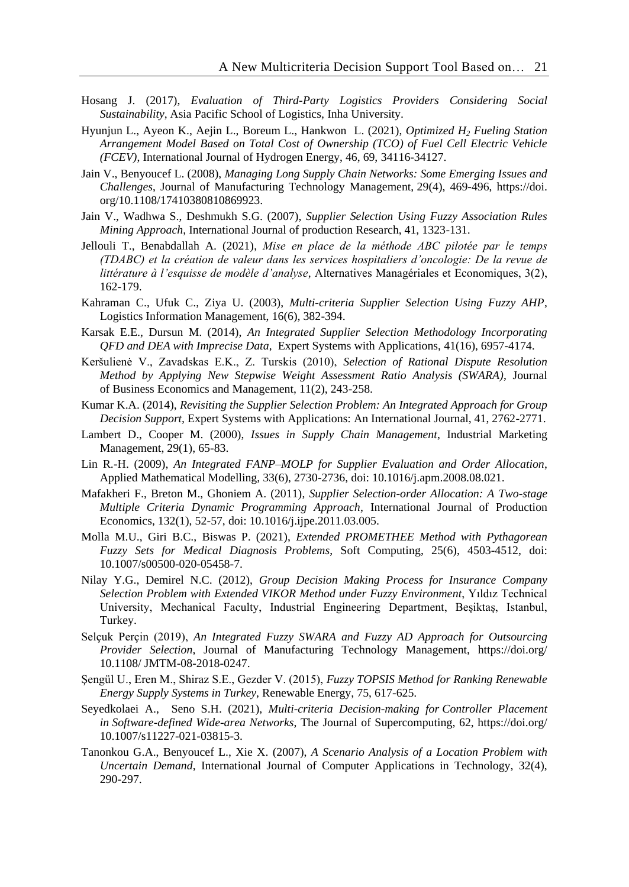- Hosang J. (2017), *Evaluation of Third-Party Logistics Providers Considering Social Sustainability*, Asia Pacific School of Logistics, Inha University.
- Hyunjun L., Ayeon K., Aejin L., Boreum L., Hankwon L. (2021), *Optimized H<sup>2</sup> Fueling Station Arrangement Model Based on Total Cost of Ownership (TCO) of Fuel Cell Electric Vehicle (FCEV)*, International Journal of Hydrogen Energy, 46, 69, 34116-34127.
- Jain V., Benyoucef L. (2008), *Managing Long Supply Chain Networks: Some Emerging Issues and Challenges*, Journal of Manufacturing Technology Management, 29(4), 469-496, https://doi. org/10.1108/17410380810869923.
- Jain V., Wadhwa S., Deshmukh S.G. (2007), *Supplier Selection Using Fuzzy Association Rules Mining Approach*, International Journal of production Research, 41, 1323-131.
- Jellouli T., Benabdallah A. (2021), *Mise en place de la méthode ABC pilotée par le temps (TDABC) et la création de valeur dans les services hospitaliers d'oncologie: De la revue de littérature à l'esquisse de modèle d'analyse*, Alternatives Managériales et Economiques, 3(2), 162-179.
- Kahraman C., Ufuk C., Ziya U. (2003), *Multi-criteria Supplier Selection Using Fuzzy AHP*, Logistics Information Management, 16(6), 382-394.
- Karsak E.E., Dursun M. (2014), *An Integrated Supplier Selection Methodology Incorporating QFD and DEA with Imprecise Data*, Expert Systems with Applications, 41(16), 6957-4174.
- Keršulienė V., Zavadskas E.K., Z. Turskis (2010), *Selection of Rational Dispute Resolution Method by Applying New Stepwise Weight Assessment Ratio Analysis (SWARA)*, Journal of Business Economics and Management, 11(2), 243-258.
- Kumar K.A. (2014), *Revisiting the Supplier Selection Problem: An Integrated Approach for Group Decision Support,* Expert Systems with Applications: An International Journal, 41, 2762-2771.
- Lambert D., Cooper M. (2000), *Issues in Supply Chain Management*, Industrial Marketing Management, 29(1), 65-83.
- Lin R.-H. (2009), *An Integrated FANP–MOLP for Supplier Evaluation and Order Allocation*, Applied Mathematical Modelling, 33(6), 2730-2736, doi: 10.1016/j.apm.2008.08.021.
- Mafakheri F., Breton M., Ghoniem A. (2011), *Supplier Selection-order Allocation: A Two-stage Multiple Criteria Dynamic Programming Approach*, International Journal of Production Economics, 132(1), 52-57, doi: 10.1016/j.ijpe.2011.03.005.
- Molla M.U., Giri B.C., Biswas P. (2021), *Extended PROMETHEE Method with Pythagorean Fuzzy Sets for Medical Diagnosis Problems*, Soft Computing, 25(6), 4503-4512, doi: 10.1007/s00500-020-05458-7.
- Nilay Y.G., Demirel N.C. (2012), *Group Decision Making Process for Insurance Company Selection Problem with Extended VIKOR Method under Fuzzy Environment*, Yıldız Technical University, Mechanical Faculty, Industrial Engineering Department, Beşiktaş, Istanbul, Turkey.
- Selçuk Perçin (2019), *An Integrated Fuzzy SWARA and Fuzzy AD Approach for Outsourcing Provider Selection*, Journal of Manufacturing Technology Management, https://doi.org/ 10.1108/ JMTM-08-2018-0247.
- Şengül U., Eren M., Shiraz S.E., Gezder V. (2015), *Fuzzy TOPSIS Method for Ranking Renewable Energy Supply Systems in Turkey*, Renewable Energy, 75, 617-625.
- Seyedkolaei A., Seno S.H. (2021), *Multi-criteria Decision-making for Controller Placement in Software-defined Wide-area Networks*, The Journal of Supercomputing, 62, https://doi.org/ 10.1007/s11227-021-03815-3.
- Tanonkou G.A., Benyoucef L., Xie X. (2007), *A Scenario Analysis of a Location Problem with Uncertain Demand*, International Journal of Computer Applications in Technology, 32(4), 290-297.